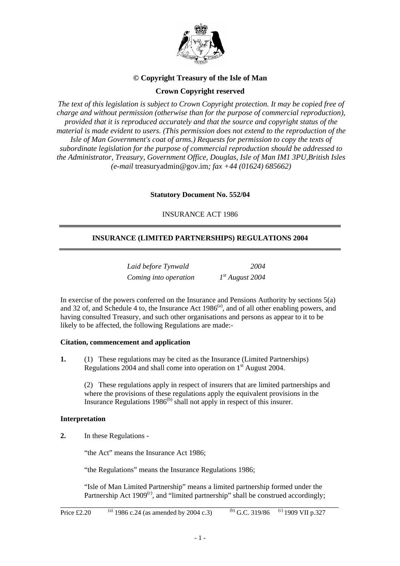

# **© Copyright Treasury of the Isle of Man**

# **Crown Copyright reserved**

*The text of this legislation is subject to Crown Copyright protection. It may be copied free of charge and without permission (otherwise than for the purpose of commercial reproduction), provided that it is reproduced accurately and that the source and copyright status of the material is made evident to users. (This permission does not extend to the reproduction of the Isle of Man Government's coat of arms.) Requests for permission to copy the texts of subordinate legislation for the purpose of commercial reproduction should be addressed to the Administrator, Treasury, Government Office, Douglas, Isle of Man IM1 3PU,British Isles (e-mail* treasuryadmin@gov.im*; fax +44 (01624) 685662)*

**Statutory Document No. 552/04**

# INSURANCE ACT 1986

# **INSURANCE (LIMITED PARTNERSHIPS) REGULATIONS 2004**

| Laid before Tynwald   | 2004              |
|-----------------------|-------------------|
| Coming into operation | $1st$ August 2004 |

In exercise of the powers conferred on the Insurance and Pensions Authority by sections  $5(a)$ and 32 of, and Schedule 4 to, the Insurance Act  $1986<sup>(a)</sup>$ , and of all other enabling powers, and having consulted Treasury, and such other organisations and persons as appear to it to be likely to be affected, the following Regulations are made:-

#### **Citation, commencement and application**

**1.** (1) These regulations may be cited as the Insurance (Limited Partnerships) Regulations 2004 and shall come into operation on  $1<sup>st</sup>$  August 2004.

(2) These regulations apply in respect of insurers that are limited partnerships and where the provisions of these regulations apply the equivalent provisions in the Insurance Regulations  $1986<sup>(b)</sup>$  shall not apply in respect of this insurer.

# **Interpretation**

**2.** In these Regulations -

"the Act" means the Insurance Act 1986;

"the Regulations" means the Insurance Regulations 1986;

"Isle of Man Limited Partnership" means a limited partnership formed under the Partnership Act 1909 $\text{°}$ , and "limited partnership" shall be construed accordingly;

\_\_\_\_\_\_\_\_\_\_\_\_\_\_\_\_\_\_\_\_\_\_\_\_\_\_\_\_\_\_\_\_\_\_\_\_\_\_\_\_\_\_\_\_\_\_\_\_\_\_\_\_\_\_\_\_\_\_\_\_\_\_\_\_\_\_\_\_\_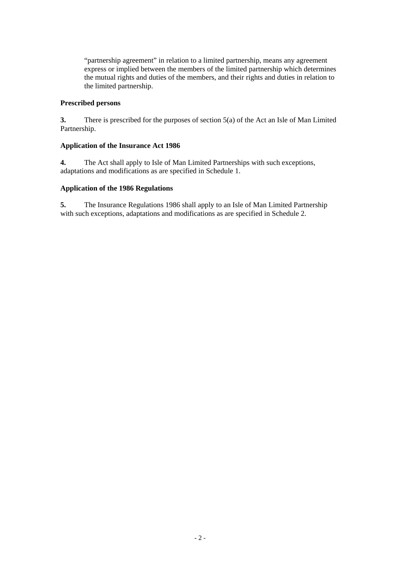"partnership agreement" in relation to a limited partnership, means any agreement express or implied between the members of the limited partnership which determines the mutual rights and duties of the members, and their rights and duties in relation to the limited partnership.

# **Prescribed persons**

**3.** There is prescribed for the purposes of section 5(a) of the Act an Isle of Man Limited Partnership.

# **Application of the Insurance Act 1986**

**4.** The Act shall apply to Isle of Man Limited Partnerships with such exceptions, adaptations and modifications as are specified in Schedule 1.

# **Application of the 1986 Regulations**

**5.** The Insurance Regulations 1986 shall apply to an Isle of Man Limited Partnership with such exceptions, adaptations and modifications as are specified in Schedule 2.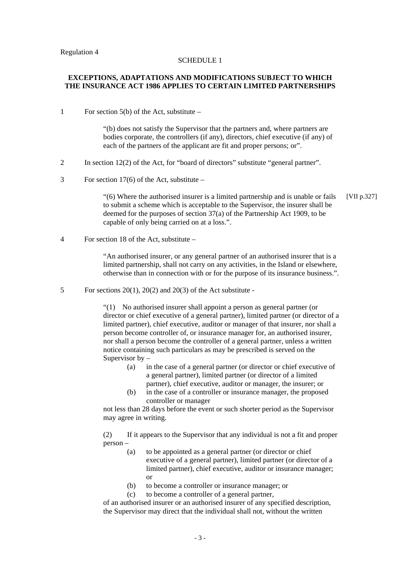#### SCHEDULE 1

#### **EXCEPTIONS, ADAPTATIONS AND MODIFICATIONS SUBJECT TO WHICH THE INSURANCE ACT 1986 APPLIES TO CERTAIN LIMITED PARTNERSHIPS**

1 For section 5(b) of the Act, substitute –

"(b) does not satisfy the Supervisor that the partners and, where partners are bodies corporate, the controllers (if any), directors, chief executive (if any) of each of the partners of the applicant are fit and proper persons; or".

- 2 In section 12(2) of the Act, for "board of directors" substitute "general partner".
- 3 For section 17(6) of the Act, substitute –

"(6) Where the authorised insurer is a limited partnership and is unable or fails [VII p.327] to submit a scheme which is acceptable to the Supervisor, the insurer shall be deemed for the purposes of section 37(a) of the Partnership Act 1909, to be capable of only being carried on at a loss.".

4 For section 18 of the Act, substitute –

"An authorised insurer, or any general partner of an authorised insurer that is a limited partnership, shall not carry on any activities, in the Island or elsewhere, otherwise than in connection with or for the purpose of its insurance business.".

5 For sections  $20(1)$ ,  $20(2)$  and  $20(3)$  of the Act substitute -

"(1) No authorised insurer shall appoint a person as general partner (or director or chief executive of a general partner), limited partner (or director of a limited partner), chief executive, auditor or manager of that insurer, nor shall a person become controller of, or insurance manager for, an authorised insurer, nor shall a person become the controller of a general partner, unless a written notice containing such particulars as may be prescribed is served on the Supervisor by –

- (a) in the case of a general partner (or director or chief executive of a general partner), limited partner (or director of a limited partner), chief executive, auditor or manager, the insurer; or
- (b) in the case of a controller or insurance manager, the proposed controller or manager

not less than 28 days before the event or such shorter period as the Supervisor may agree in writing.

(2) If it appears to the Supervisor that any individual is not a fit and proper person –

- (a) to be appointed as a general partner (or director or chief executive of a general partner), limited partner (or director of a limited partner), chief executive, auditor or insurance manager; or
- (b) to become a controller or insurance manager; or
- (c) to become a controller of a general partner,

of an authorised insurer or an authorised insurer of any specified description, the Supervisor may direct that the individual shall not, without the written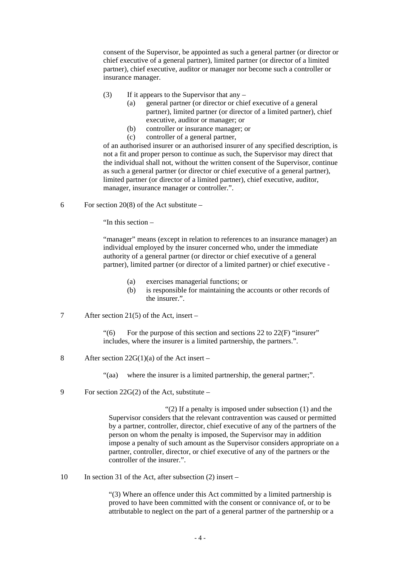consent of the Supervisor, be appointed as such a general partner (or director or chief executive of a general partner), limited partner (or director of a limited partner), chief executive, auditor or manager nor become such a controller or insurance manager.

- (3) If it appears to the Supervisor that any  $-$ 
	- (a) general partner (or director or chief executive of a general partner), limited partner (or director of a limited partner), chief executive, auditor or manager; or
	- (b) controller or insurance manager; or
	- (c) controller of a general partner,

of an authorised insurer or an authorised insurer of any specified description, is not a fit and proper person to continue as such, the Supervisor may direct that the individual shall not, without the written consent of the Supervisor, continue as such a general partner (or director or chief executive of a general partner), limited partner (or director of a limited partner), chief executive, auditor, manager, insurance manager or controller.".

6 For section 20(8) of the Act substitute –

"In this section –

"manager" means (except in relation to references to an insurance manager) an individual employed by the insurer concerned who, under the immediate authority of a general partner (or director or chief executive of a general partner), limited partner (or director of a limited partner) or chief executive -

- (a) exercises managerial functions; or
- (b) is responsible for maintaining the accounts or other records of the insurer.".
- 7 After section 21(5) of the Act, insert –

"(6) For the purpose of this section and sections  $22$  to  $22(F)$  "insurer" includes, where the insurer is a limited partnership, the partners.".

8 After section 22G(1)(a) of the Act insert –

"(aa) where the insurer is a limited partnership, the general partner;".

9 For section 22G(2) of the Act, substitute –

" $(2)$  If a penalty is imposed under subsection  $(1)$  and the Supervisor considers that the relevant contravention was caused or permitted by a partner, controller, director, chief executive of any of the partners of the person on whom the penalty is imposed, the Supervisor may in addition impose a penalty of such amount as the Supervisor considers appropriate on a partner, controller, director, or chief executive of any of the partners or the controller of the insurer.".

10 In section 31 of the Act, after subsection (2) insert –

"(3) Where an offence under this Act committed by a limited partnership is proved to have been committed with the consent or connivance of, or to be attributable to neglect on the part of a general partner of the partnership or a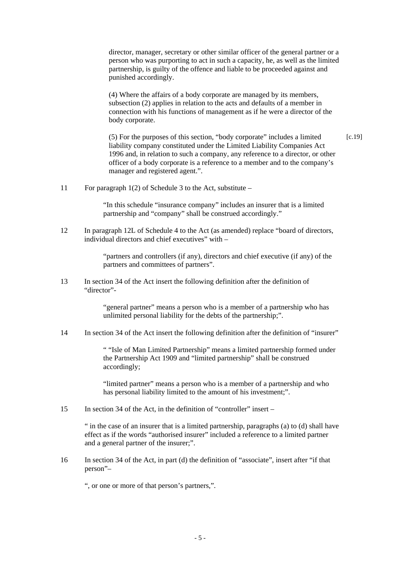director, manager, secretary or other similar officer of the general partner or a person who was purporting to act in such a capacity, he, as well as the limited partnership, is guilty of the offence and liable to be proceeded against and punished accordingly.

(4) Where the affairs of a body corporate are managed by its members, subsection (2) applies in relation to the acts and defaults of a member in connection with his functions of management as if he were a director of the body corporate.

(5) For the purposes of this section, "body corporate" includes a limited liability company constituted under the Limited Liability Companies Act 1996 and, in relation to such a company, any reference to a director, or other officer of a body corporate is a reference to a member and to the company's manager and registered agent.". [c.19]

11 For paragraph 1(2) of Schedule 3 to the Act, substitute –

"In this schedule "insurance company" includes an insurer that is a limited partnership and "company" shall be construed accordingly."

12 In paragraph 12L of Schedule 4 to the Act (as amended) replace "board of directors, individual directors and chief executives" with –

> "partners and controllers (if any), directors and chief executive (if any) of the partners and committees of partners".

13 In section 34 of the Act insert the following definition after the definition of "director"-

> "general partner" means a person who is a member of a partnership who has unlimited personal liability for the debts of the partnership;".

14 In section 34 of the Act insert the following definition after the definition of "insurer"

" "Isle of Man Limited Partnership" means a limited partnership formed under the Partnership Act 1909 and "limited partnership" shall be construed accordingly;

"limited partner" means a person who is a member of a partnership and who has personal liability limited to the amount of his investment;".

15 In section 34 of the Act, in the definition of "controller" insert –

" in the case of an insurer that is a limited partnership, paragraphs (a) to (d) shall have effect as if the words "authorised insurer" included a reference to a limited partner and a general partner of the insurer;".

16 In section 34 of the Act, in part (d) the definition of "associate", insert after "if that person"–

", or one or more of that person's partners,".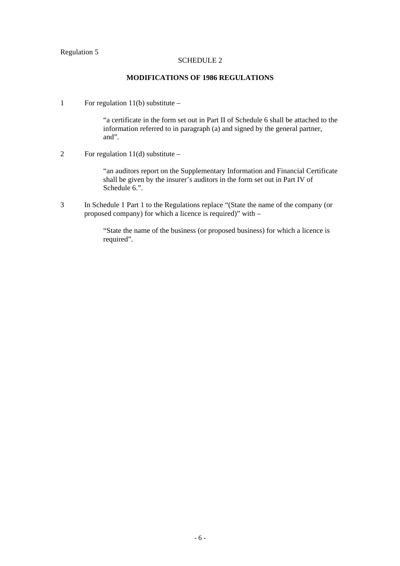# Regulation 5

#### SCHEDULE 2

## **MODIFICATIONS OF 1986 REGULATIONS**

1 For regulation 11(b) substitute –

"a certificate in the form set out in Part II of Schedule 6 shall be attached to the information referred to in paragraph (a) and signed by the general partner, and".

2 For regulation  $11(d)$  substitute –

"an auditors report on the Supplementary Information and Financial Certificate shall be given by the insurer's auditors in the form set out in Part IV of Schedule 6.".

3 In Schedule 1 Part 1 to the Regulations replace "(State the name of the company (or proposed company) for which a licence is required)" with –

> "State the name of the business (or proposed business) for which a licence is required".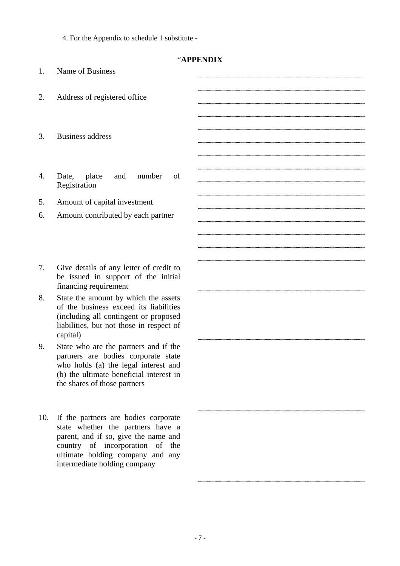4. For the Appendix to schedule 1 substitute -

| "APPENDIX |
|-----------|
|-----------|

| 1.  | Name of Business                                                                                                                                                                                                         |  |
|-----|--------------------------------------------------------------------------------------------------------------------------------------------------------------------------------------------------------------------------|--|
| 2.  | Address of registered office                                                                                                                                                                                             |  |
| 3.  | <b>Business address</b>                                                                                                                                                                                                  |  |
| 4.  | place<br>number<br>Date,<br>and<br>of<br>Registration                                                                                                                                                                    |  |
| 5.  | Amount of capital investment                                                                                                                                                                                             |  |
| 6.  | Amount contributed by each partner                                                                                                                                                                                       |  |
| 7.  | Give details of any letter of credit to<br>be issued in support of the initial<br>financing requirement                                                                                                                  |  |
| 8.  | State the amount by which the assets<br>of the business exceed its liabilities<br>(including all contingent or proposed<br>liabilities, but not those in respect of<br>capital)                                          |  |
| 9.  | State who are the partners and if the<br>partners are bodies corporate state<br>who holds (a) the legal interest and<br>(b) the ultimate beneficial interest in<br>the shares of those partners                          |  |
| 10. | If the partners are bodies corporate<br>state whether the partners have a<br>parent, and if so, give the name and<br>country of incorporation of the<br>ultimate holding company and any<br>intermediate holding company |  |
|     |                                                                                                                                                                                                                          |  |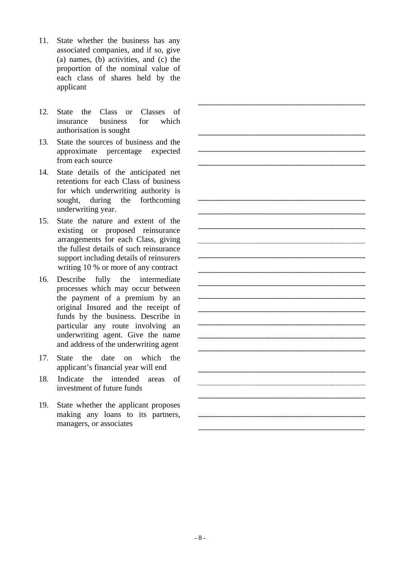- 11. State whether the business has any associated companies, and if so, give (a) names, (b) activities, and (c) the proportion of the nominal value of each class of shares held by the applicant
- 12. State the Class or Classes of insurance business for which authorisation is sought
- 13. State the sources of business and the approximate percentage expected from each source
- 14. State details of the anticipated net retentions for each Class of business for which underwriting authority is sought, during the forthcoming underwriting year.
- 15. State the nature and extent of the existing or proposed reinsurance arrangements for each Class, giving the fullest details of such reinsurance support including details of reinsurers writing 10 % or more of any contract
- 16. Describe fully the intermediate processes which may occur between the payment of a premium by an original Insured and the receipt of funds by the business. Describe in particular any route involving an underwriting agent. Give the name and address of the underwriting agent
- 17. State the date on which the applicant's financial year will end
- 18. Indicate the intended areas of investment of future funds
- 19. State whether the applicant proposes making any loans to its partners, managers, or associates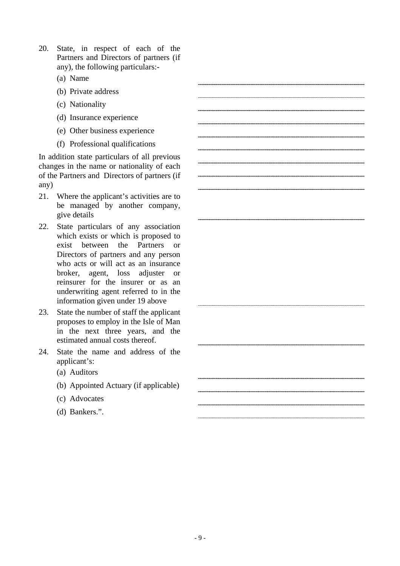- 20. State, in respect of each of the Partners and Directors of partners (if any), the following particulars:-
	- (a) Name
	- (b) Private address
	- (c) Nationality
	- (d) Insurance experience
	- (e) Other business experience
	- (f) Professional qualifications

In addition state particulars of all previous changes in the name or nationality of each of the Partners and Directors of partners (if any)

- 21. Where the applicant's activities are to be managed by another company, give details
- 22. State particulars of any association which exists or which is proposed to exist between the Partners or Directors of partners and any person who acts or will act as an insurance broker, agent, loss adjuster or reinsurer for the insurer or as an underwriting agent referred to in the information given under 19 above
- 23. State the number of staff the applicant proposes to employ in the Isle of Man in the next three years, and the estimated annual costs thereof.
- 24. State the name and address of the applicant's:
	- (a) Auditors
	- (b) Appointed Actuary (if applicable)
	- (c) Advocates
	- (d) Bankers.".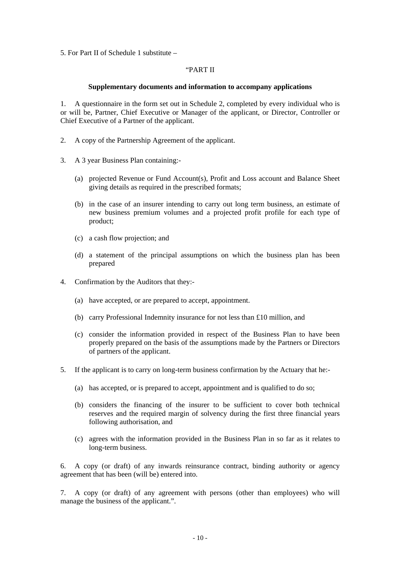5. For Part II of Schedule 1 substitute –

#### "PART II

#### **Supplementary documents and information to accompany applications**

1. A questionnaire in the form set out in Schedule 2, completed by every individual who is or will be, Partner, Chief Executive or Manager of the applicant, or Director, Controller or Chief Executive of a Partner of the applicant.

- 2. A copy of the Partnership Agreement of the applicant.
- 3. A 3 year Business Plan containing:-
	- (a) projected Revenue or Fund Account(s), Profit and Loss account and Balance Sheet giving details as required in the prescribed formats;
	- (b) in the case of an insurer intending to carry out long term business, an estimate of new business premium volumes and a projected profit profile for each type of product;
	- (c) a cash flow projection; and
	- (d) a statement of the principal assumptions on which the business plan has been prepared
- 4. Confirmation by the Auditors that they:-
	- (a) have accepted, or are prepared to accept, appointment.
	- (b) carry Professional Indemnity insurance for not less than £10 million, and
	- (c) consider the information provided in respect of the Business Plan to have been properly prepared on the basis of the assumptions made by the Partners or Directors of partners of the applicant.
- 5. If the applicant is to carry on long-term business confirmation by the Actuary that he:-
	- (a) has accepted, or is prepared to accept, appointment and is qualified to do so;
	- (b) considers the financing of the insurer to be sufficient to cover both technical reserves and the required margin of solvency during the first three financial years following authorisation, and
	- (c) agrees with the information provided in the Business Plan in so far as it relates to long-term business.

6. A copy (or draft) of any inwards reinsurance contract, binding authority or agency agreement that has been (will be) entered into.

7. A copy (or draft) of any agreement with persons (other than employees) who will manage the business of the applicant.".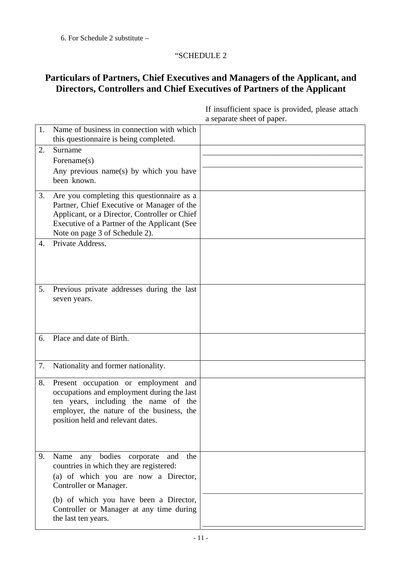# "SCHEDULE 2

# **Particulars of Partners, Chief Executives and Managers of the Applicant, and Directors, Controllers and Chief Executives of Partners of the Applicant**

| 1. | Name of business in connection with which<br>this questionnaire is being completed. |  |
|----|-------------------------------------------------------------------------------------|--|
| 2. | Surname                                                                             |  |
|    | Forename(s)                                                                         |  |
|    | Any previous name(s) by which you have                                              |  |
|    | been known.                                                                         |  |
|    |                                                                                     |  |
| 3. | Are you completing this questionnaire as a                                          |  |
|    | Partner, Chief Executive or Manager of the                                          |  |
|    | Applicant, or a Director, Controller or Chief                                       |  |
|    | Executive of a Partner of the Applicant (See                                        |  |
|    | Note on page 3 of Schedule 2).                                                      |  |
| 4. | Private Address.                                                                    |  |
|    |                                                                                     |  |
|    |                                                                                     |  |
|    |                                                                                     |  |
|    |                                                                                     |  |
| 5. | Previous private addresses during the last                                          |  |
|    | seven years.                                                                        |  |
|    |                                                                                     |  |
|    |                                                                                     |  |
|    |                                                                                     |  |
| 6. | Place and date of Birth.                                                            |  |
|    |                                                                                     |  |
| 7. |                                                                                     |  |
|    | Nationality and former nationality.                                                 |  |
| 8. | Present occupation or employment and                                                |  |
|    | occupations and employment during the last                                          |  |
|    | ten years, including the name of the                                                |  |
|    | employer, the nature of the business, the                                           |  |
|    | position held and relevant dates.                                                   |  |
|    |                                                                                     |  |
|    |                                                                                     |  |
| 9. | any bodies corporate<br>Name<br>the<br>and                                          |  |
|    | countries in which they are registered:                                             |  |
|    |                                                                                     |  |
|    | (a) of which you are now a Director,                                                |  |
|    | Controller or Manager.                                                              |  |
|    | (b) of which you have been a Director,                                              |  |
|    | Controller or Manager at any time during                                            |  |
|    | the last ten years.                                                                 |  |
|    |                                                                                     |  |

If insufficient space is provided, please attach a separate sheet of paper.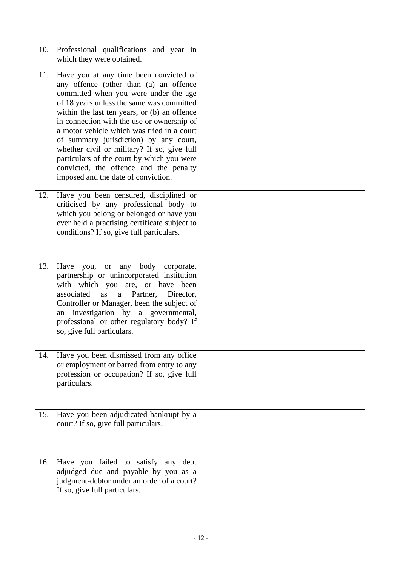| 10. | Professional qualifications and year in<br>which they were obtained.                                                                                                                                                                                                                                                                                                                                                                                                                                                                       |  |
|-----|--------------------------------------------------------------------------------------------------------------------------------------------------------------------------------------------------------------------------------------------------------------------------------------------------------------------------------------------------------------------------------------------------------------------------------------------------------------------------------------------------------------------------------------------|--|
| 11. | Have you at any time been convicted of<br>any offence (other than (a) an offence<br>committed when you were under the age<br>of 18 years unless the same was committed<br>within the last ten years, or (b) an offence<br>in connection with the use or ownership of<br>a motor vehicle which was tried in a court<br>of summary jurisdiction) by any court,<br>whether civil or military? If so, give full<br>particulars of the court by which you were<br>convicted, the offence and the penalty<br>imposed and the date of conviction. |  |
| 12. | Have you been censured, disciplined or<br>criticised by any professional body to<br>which you belong or belonged or have you<br>ever held a practising certificate subject to<br>conditions? If so, give full particulars.                                                                                                                                                                                                                                                                                                                 |  |
| 13. | body<br>Have<br>any<br>you,<br><sub>or</sub><br>corporate,<br>partnership or unincorporated institution<br>with which you are, or have been<br>associated<br>Partner,<br>Director,<br>as<br>a<br>Controller or Manager, been the subject of<br>an investigation by a governmental,<br>professional or other regulatory body? If<br>so, give full particulars.                                                                                                                                                                              |  |
| 14. | Have you been dismissed from any office<br>or employment or barred from entry to any<br>profession or occupation? If so, give full<br>particulars.                                                                                                                                                                                                                                                                                                                                                                                         |  |
| 15. | Have you been adjudicated bankrupt by a<br>court? If so, give full particulars.                                                                                                                                                                                                                                                                                                                                                                                                                                                            |  |
| 16. | Have you failed to satisfy any<br>debt<br>adjudged due and payable by you as a<br>judgment-debtor under an order of a court?<br>If so, give full particulars.                                                                                                                                                                                                                                                                                                                                                                              |  |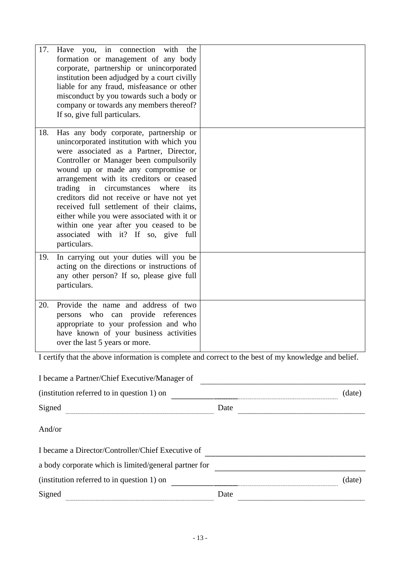| 17. | in connection with<br>Have you,<br>the<br>formation or management of any body<br>corporate, partnership or unincorporated<br>institution been adjudged by a court civilly<br>liable for any fraud, misfeasance or other<br>misconduct by you towards such a body or<br>company or towards any members thereof?<br>If so, give full particulars.                                                                                                                                                                                                          |                                                                                                      |
|-----|----------------------------------------------------------------------------------------------------------------------------------------------------------------------------------------------------------------------------------------------------------------------------------------------------------------------------------------------------------------------------------------------------------------------------------------------------------------------------------------------------------------------------------------------------------|------------------------------------------------------------------------------------------------------|
| 18. | Has any body corporate, partnership or<br>unincorporated institution with which you<br>were associated as a Partner, Director,<br>Controller or Manager been compulsorily<br>wound up or made any compromise or<br>arrangement with its creditors or ceased<br>trading<br>in<br>circumstances<br>where<br>its<br>creditors did not receive or have not yet<br>received full settlement of their claims,<br>either while you were associated with it or<br>within one year after you ceased to be<br>associated with it? If so, give full<br>particulars. |                                                                                                      |
| 19. | In carrying out your duties will you be<br>acting on the directions or instructions of<br>any other person? If so, please give full<br>particulars.                                                                                                                                                                                                                                                                                                                                                                                                      |                                                                                                      |
| 20. | Provide the name and address of two<br>persons who can provide references<br>appropriate to your profession and who<br>have known of your business activities<br>over the last 5 years or more.                                                                                                                                                                                                                                                                                                                                                          |                                                                                                      |
|     |                                                                                                                                                                                                                                                                                                                                                                                                                                                                                                                                                          | I certify that the above information is complete and correct to the best of my knowledge and belief. |

| I became a Partner/Chief Executive/Manager of         |      |        |
|-------------------------------------------------------|------|--------|
| (institution referred to in question 1) on            |      | (date) |
| Signed                                                | Date |        |
| And/or                                                |      |        |
| I became a Director/Controller/Chief Executive of     |      |        |
| a body corporate which is limited/general partner for |      |        |
| (institution referred to in question 1) on            |      | (date) |
| Signed                                                | Date |        |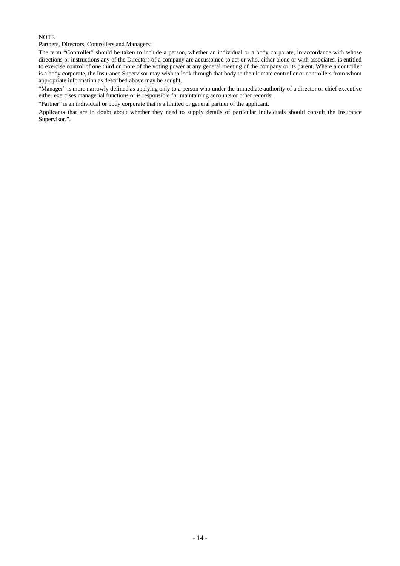#### **NOTE**

Partners, Directors, Controllers and Managers:

The term "Controller" should be taken to include a person, whether an individual or a body corporate, in accordance with whose directions or instructions any of the Directors of a company are accustomed to act or who, either alone or with associates, is entitled to exercise control of one third or more of the voting power at any general meeting of the company or its parent. Where a controller is a body corporate, the Insurance Supervisor may wish to look through that body to the ultimate controller or controllers from whom appropriate information as described above may be sought.

"Manager" is more narrowly defined as applying only to a person who under the immediate authority of a director or chief executive either exercises managerial functions or is responsible for maintaining accounts or other records.

"Partner" is an individual or body corporate that is a limited or general partner of the applicant.

Applicants that are in doubt about whether they need to supply details of particular individuals should consult the Insurance Supervisor.".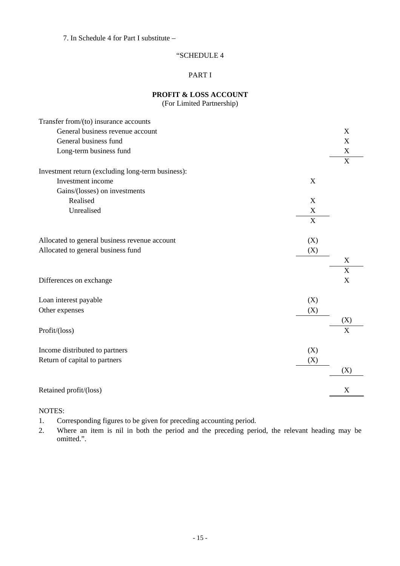7. In Schedule 4 for Part I substitute –

# "SCHEDULE 4

# PART I

**PROFIT & LOSS ACCOUNT**  (For Limited Partnership)

| Transfer from/(to) insurance accounts             |                |                           |
|---------------------------------------------------|----------------|---------------------------|
| General business revenue account                  |                | $\mathbf X$               |
| General business fund                             |                | $\mathbf X$               |
| Long-term business fund                           |                | X                         |
|                                                   |                | X                         |
| Investment return (excluding long-term business): |                |                           |
| Investment income                                 | X              |                           |
| Gains/(losses) on investments                     |                |                           |
| Realised                                          | X              |                           |
| Unrealised                                        | X              |                           |
|                                                   | $\overline{X}$ |                           |
|                                                   |                |                           |
| Allocated to general business revenue account     | (X)            |                           |
| Allocated to general business fund                | (X)            |                           |
|                                                   |                | X                         |
|                                                   |                | X                         |
| Differences on exchange                           |                | $\boldsymbol{\mathrm{X}}$ |
| Loan interest payable                             | (X)            |                           |
| Other expenses                                    | (X)            |                           |
|                                                   |                | (X)                       |
| Profit/(loss)                                     |                | X                         |
| Income distributed to partners                    | (X)            |                           |
| Return of capital to partners                     | (X)            |                           |
|                                                   |                | (X)                       |
| Retained profit/(loss)                            |                | $\mathbf X$               |

# NOTES:

1. Corresponding figures to be given for preceding accounting period.

2. Where an item is nil in both the period and the preceding period, the relevant heading may be omitted.".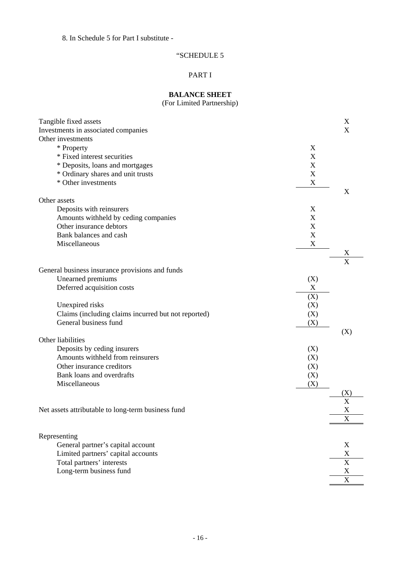8. In Schedule 5 for Part I substitute -

# "SCHEDULE 5

# PART I

# **BALANCE SHEET**

(For Limited Partnership)

| Tangible fixed assets                               |             | X                     |
|-----------------------------------------------------|-------------|-----------------------|
| Investments in associated companies                 |             | X                     |
| Other investments                                   |             |                       |
| * Property                                          | X           |                       |
| * Fixed interest securities                         | X           |                       |
| * Deposits, loans and mortgages                     | X           |                       |
| * Ordinary shares and unit trusts                   | $\mathbf X$ |                       |
| * Other investments                                 | $\mathbf X$ |                       |
|                                                     |             | X                     |
| Other assets                                        |             |                       |
| Deposits with reinsurers                            | X           |                       |
| Amounts withheld by ceding companies                | X           |                       |
| Other insurance debtors                             | X           |                       |
| Bank balances and cash                              | X           |                       |
| Miscellaneous                                       | $\mathbf X$ |                       |
|                                                     |             | X                     |
| General business insurance provisions and funds     |             | $\overline{\text{X}}$ |
| Unearned premiums                                   |             |                       |
| Deferred acquisition costs                          | (X)<br>X    |                       |
|                                                     |             |                       |
|                                                     | (X)         |                       |
| Unexpired risks                                     | (X)         |                       |
| Claims (including claims incurred but not reported) | (X)         |                       |
| General business fund                               | (X)         |                       |
| Other liabilities                                   |             | (X)                   |
| Deposits by ceding insurers                         | (X)         |                       |
| Amounts withheld from reinsurers                    | (X)         |                       |
| Other insurance creditors                           | (X)         |                       |
| Bank loans and overdrafts                           | (X)         |                       |
| Miscellaneous                                       | (X)         |                       |
|                                                     |             | $(\rm X)$             |
|                                                     |             | X                     |
| Net assets attributable to long-term business fund  |             | X                     |
|                                                     |             | X                     |
|                                                     |             |                       |
| Representing                                        |             |                       |
| General partner's capital account                   |             | X                     |
| Limited partners' capital accounts                  |             | $\mathbf X$           |
| Total partners' interests                           |             | $\mathbf X$           |
| Long-term business fund                             |             | $\mathbf X$           |
|                                                     |             | $\mathbf X$           |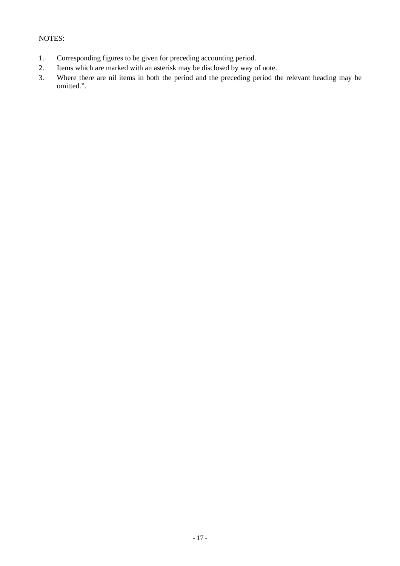# NOTES:

- 1. Corresponding figures to be given for preceding accounting period.
- 2. Items which are marked with an asterisk may be disclosed by way of note.
- 3. Where there are nil items in both the period and the preceding period the relevant heading may be omitted.".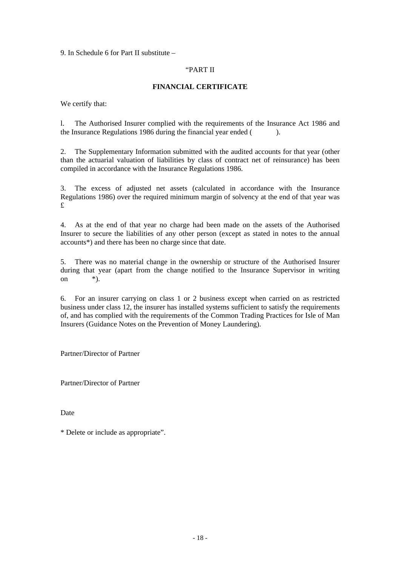9. In Schedule 6 for Part II substitute –

#### "PART II

# **FINANCIAL CERTIFICATE**

We certify that:

l. The Authorised Insurer complied with the requirements of the Insurance Act 1986 and the Insurance Regulations 1986 during the financial year ended ( ).

2. The Supplementary Information submitted with the audited accounts for that year (other than the actuarial valuation of liabilities by class of contract net of reinsurance) has been compiled in accordance with the Insurance Regulations 1986.

3. The excess of adjusted net assets (calculated in accordance with the Insurance Regulations 1986) over the required minimum margin of solvency at the end of that year was £

4. As at the end of that year no charge had been made on the assets of the Authorised Insurer to secure the liabilities of any other person (except as stated in notes to the annual accounts\*) and there has been no charge since that date.

5. There was no material change in the ownership or structure of the Authorised Insurer during that year (apart from the change notified to the Insurance Supervisor in writing on  $*$ ).

6. For an insurer carrying on class 1 or 2 business except when carried on as restricted business under class 12, the insurer has installed systems sufficient to satisfy the requirements of, and has complied with the requirements of the Common Trading Practices for Isle of Man Insurers (Guidance Notes on the Prevention of Money Laundering).

Partner/Director of Partner

Partner/Director of Partner

Date

\* Delete or include as appropriate".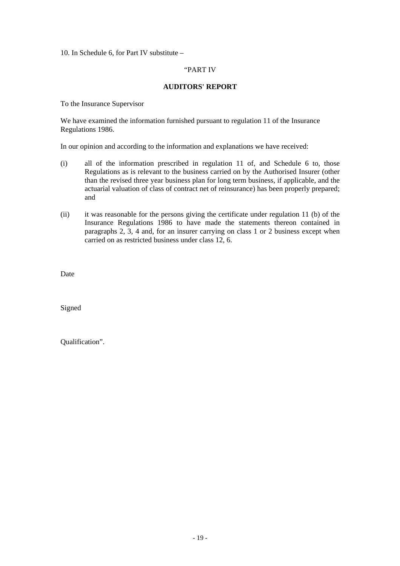10. In Schedule 6, for Part IV substitute –

#### "PART IV

#### **AUDITORS' REPORT**

To the Insurance Supervisor

We have examined the information furnished pursuant to regulation 11 of the Insurance Regulations 1986.

In our opinion and according to the information and explanations we have received:

- (i) all of the information prescribed in regulation 11 of, and Schedule 6 to, those Regulations as is relevant to the business carried on by the Authorised Insurer (other than the revised three year business plan for long term business, if applicable, and the actuarial valuation of class of contract net of reinsurance) has been properly prepared; and
- (ii) it was reasonable for the persons giving the certificate under regulation 11 (b) of the Insurance Regulations 1986 to have made the statements thereon contained in paragraphs 2, 3, 4 and, for an insurer carrying on class 1 or 2 business except when carried on as restricted business under class 12, 6.

Date

Signed

Qualification".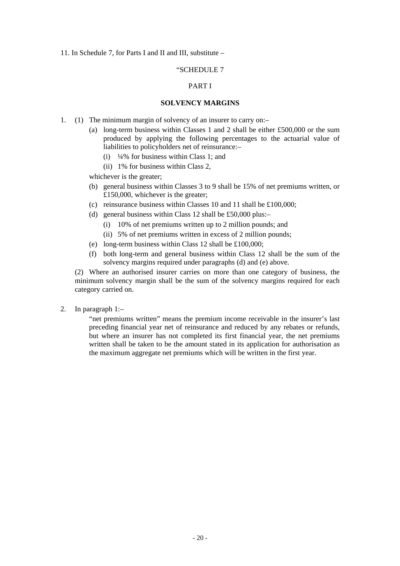#### 11. In Schedule 7, for Parts I and II and III, substitute –

#### "SCHEDULE 7

# PART I

#### **SOLVENCY MARGINS**

- 1. (1) The minimum margin of solvency of an insurer to carry on:–
	- (a) long-term business within Classes 1 and 2 shall be either £500,000 or the sum produced by applying the following percentages to the actuarial value of liabilities to policyholders net of reinsurance:–
		- (i)  $\frac{1}{4}\%$  for business within Class 1; and
		- (ii) 1% for business within Class 2,

whichever is the greater;

- (b) general business within Classes 3 to 9 shall be 15% of net premiums written, or £150,000, whichever is the greater;
- (c) reinsurance business within Classes 10 and 11 shall be £100,000;
- (d) general business within Class 12 shall be £50,000 plus:–
	- (i) 10% of net premiums written up to 2 million pounds; and
	- (ii) 5% of net premiums written in excess of 2 million pounds;
- (e) long-term business within Class 12 shall be £100,000;
- (f) both long-term and general business within Class 12 shall be the sum of the solvency margins required under paragraphs (d) and (e) above.

(2) Where an authorised insurer carries on more than one category of business, the minimum solvency margin shall be the sum of the solvency margins required for each category carried on.

2. In paragraph 1:–

"net premiums written" means the premium income receivable in the insurer's last preceding financial year net of reinsurance and reduced by any rebates or refunds, but where an insurer has not completed its first financial year, the net premiums written shall be taken to be the amount stated in its application for authorisation as the maximum aggregate net premiums which will be written in the first year.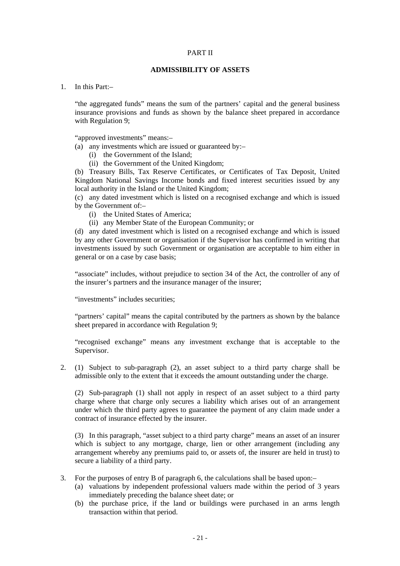#### PART II

#### **ADMISSIBILITY OF ASSETS**

1 In this Part<sup>-1</sup>

"the aggregated funds" means the sum of the partners' capital and the general business insurance provisions and funds as shown by the balance sheet prepared in accordance with Regulation 9;

"approved investments" means:–

(a) any investments which are issued or guaranteed by:–

- (i) the Government of the Island;
- (ii) the Government of the United Kingdom;

(b) Treasury Bills, Tax Reserve Certificates, or Certificates of Tax Deposit, United Kingdom National Savings Income bonds and fixed interest securities issued by any local authority in the Island or the United Kingdom;

(c) any dated investment which is listed on a recognised exchange and which is issued by the Government of:–

- (i) the United States of America;
- (ii) any Member State of the European Community; or

(d) any dated investment which is listed on a recognised exchange and which is issued by any other Government or organisation if the Supervisor has confirmed in writing that investments issued by such Government or organisation are acceptable to him either in general or on a case by case basis;

"associate" includes, without prejudice to section 34 of the Act, the controller of any of the insurer's partners and the insurance manager of the insurer;

"investments" includes securities;

"partners' capital" means the capital contributed by the partners as shown by the balance sheet prepared in accordance with Regulation 9;

"recognised exchange" means any investment exchange that is acceptable to the Supervisor.

2. (1) Subject to sub-paragraph (2), an asset subject to a third party charge shall be admissible only to the extent that it exceeds the amount outstanding under the charge.

(2) Sub-paragraph (1) shall not apply in respect of an asset subject to a third party charge where that charge only secures a liability which arises out of an arrangement under which the third party agrees to guarantee the payment of any claim made under a contract of insurance effected by the insurer.

(3) In this paragraph, "asset subject to a third party charge" means an asset of an insurer which is subject to any mortgage, charge, lien or other arrangement (including any arrangement whereby any premiums paid to, or assets of, the insurer are held in trust) to secure a liability of a third party.

- 3. For the purposes of entry B of paragraph 6, the calculations shall be based upon:–
	- (a) valuations by independent professional valuers made within the period of 3 years immediately preceding the balance sheet date; or
	- (b) the purchase price, if the land or buildings were purchased in an arms length transaction within that period.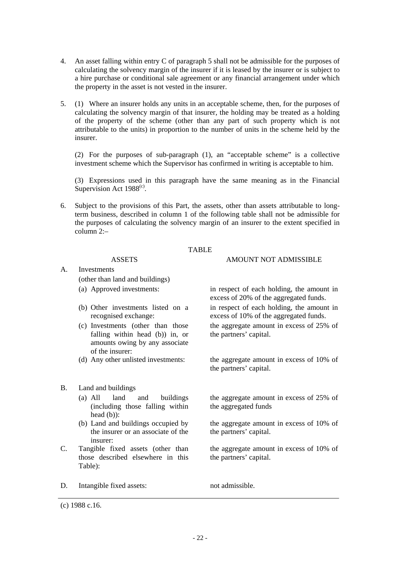- 4. An asset falling within entry C of paragraph 5 shall not be admissible for the purposes of calculating the solvency margin of the insurer if it is leased by the insurer or is subject to a hire purchase or conditional sale agreement or any financial arrangement under which the property in the asset is not vested in the insurer.
- 5. (1) Where an insurer holds any units in an acceptable scheme, then, for the purposes of calculating the solvency margin of that insurer, the holding may be treated as a holding of the property of the scheme (other than any part of such property which is not attributable to the units) in proportion to the number of units in the scheme held by the insurer.

(2) For the purposes of sub-paragraph (1), an "acceptable scheme" is a collective investment scheme which the Supervisor has confirmed in writing is acceptable to him.

(3) Expressions used in this paragraph have the same meaning as in the Financial Supervision Act  $1988^{\text{(c)}}$ .

6. Subject to the provisions of this Part, the assets, other than assets attributable to longterm business, described in column 1 of the following table shall not be admissible for the purposes of calculating the solvency margin of an insurer to the extent specified in column 2:–

#### TABLE

#### ASSETS AMOUNT NOT ADMISSIBLE

excess of 20% of the aggregated funds.

the partners' capital.

the partners' capital.

the aggregated funds

the partners' capital.

the partners' capital.

in respect of each holding, the amount in excess of 10% of the aggregated funds.

the aggregate amount in excess of 25% of

the aggregate amount in excess of 25% of

the aggregate amount in excess of 10% of

the aggregate amount in excess of 10% of

A. Investments

(other than land and buildings)

- (a) Approved investments: in respect of each holding, the amount in
- (b) Other investments listed on a recognised exchange:
- (c) Investments (other than those falling within head (b)) in, or amounts owing by any associate of the insurer:
- (d) Any other unlisted investments: the aggregate amount in excess of 10% of
- B. Land and buildings
	- (a) All land and buildings (including those falling within head (b)):
	- (b) Land and buildings occupied by the insurer or an associate of the insurer:
- C. Tangible fixed assets (other than those described elsewhere in this Table):
- D. Intangible fixed assets: not admissible.

(c) 1988 c.16.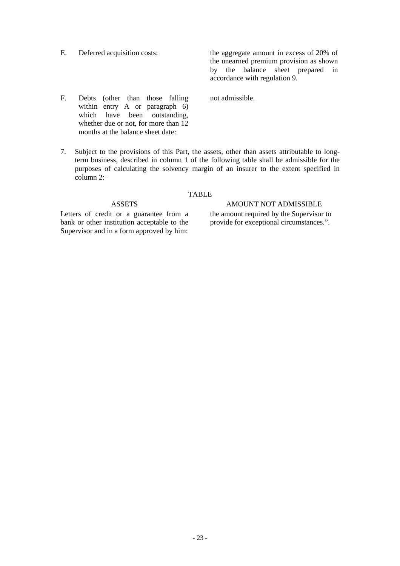E. Deferred acquisition costs: the aggregate amount in excess of 20% of the unearned premium provision as shown by the balance sheet prepared in accordance with regulation 9.

not admissible.

- F. Debts (other than those falling within entry A or paragraph 6) which have been outstanding, whether due or not, for more than 12 months at the balance sheet date:
- 7. Subject to the provisions of this Part, the assets, other than assets attributable to longterm business, described in column 1 of the following table shall be admissible for the purposes of calculating the solvency margin of an insurer to the extent specified in column 2:–

#### TABLE

Letters of credit or a guarantee from a bank or other institution acceptable to the Supervisor and in a form approved by him:

# ASSETS AMOUNT NOT ADMISSIBLE the amount required by the Supervisor to provide for exceptional circumstances.".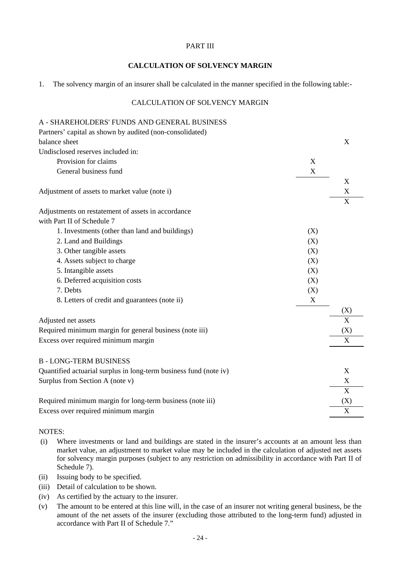#### PART III

# **CALCULATION OF SOLVENCY MARGIN**

1. The solvency margin of an insurer shall be calculated in the manner specified in the following table:-

# CALCULATION OF SOLVENCY MARGIN

| A - SHAREHOLDERS' FUNDS AND GENERAL BUSINESS                      |     |                |
|-------------------------------------------------------------------|-----|----------------|
| Partners' capital as shown by audited (non-consolidated)          |     |                |
| balance sheet                                                     |     | X              |
| Undisclosed reserves included in:                                 |     |                |
| Provision for claims                                              | X   |                |
| General business fund                                             | X   |                |
|                                                                   |     | X              |
| Adjustment of assets to market value (note i)                     |     | X              |
|                                                                   |     | $\overline{X}$ |
| Adjustments on restatement of assets in accordance                |     |                |
| with Part II of Schedule 7                                        |     |                |
| 1. Investments (other than land and buildings)                    | (X) |                |
| 2. Land and Buildings                                             | (X) |                |
| 3. Other tangible assets                                          | (X) |                |
| 4. Assets subject to charge                                       | (X) |                |
| 5. Intangible assets                                              | (X) |                |
| 6. Deferred acquisition costs                                     | (X) |                |
| 7. Debts                                                          | (X) |                |
| 8. Letters of credit and guarantees (note ii)                     | X   |                |
|                                                                   |     | (X)            |
| Adjusted net assets                                               |     | X              |
| Required minimum margin for general business (note iii)           |     | (X)            |
| Excess over required minimum margin                               |     | X              |
|                                                                   |     |                |
| <b>B-LONG-TERM BUSINESS</b>                                       |     |                |
| Quantified actuarial surplus in long-term business fund (note iv) |     | X              |
| Surplus from Section A (note v)                                   |     | $\mathbf X$    |
|                                                                   |     | X              |
| Required minimum margin for long-term business (note iii)         |     | (X)            |
| Excess over required minimum margin                               |     | X              |
|                                                                   |     |                |

## NOTES:

- (i) Where investments or land and buildings are stated in the insurer's accounts at an amount less than market value, an adjustment to market value may be included in the calculation of adjusted net assets for solvency margin purposes (subject to any restriction on admissibility in accordance with Part II of Schedule 7).
- (ii) Issuing body to be specified.
- (iii) Detail of calculation to be shown.
- (iv) As certified by the actuary to the insurer.
- (v) The amount to be entered at this line will, in the case of an insurer not writing general business, be the amount of the net assets of the insurer (excluding those attributed to the long-term fund) adjusted in accordance with Part II of Schedule 7."